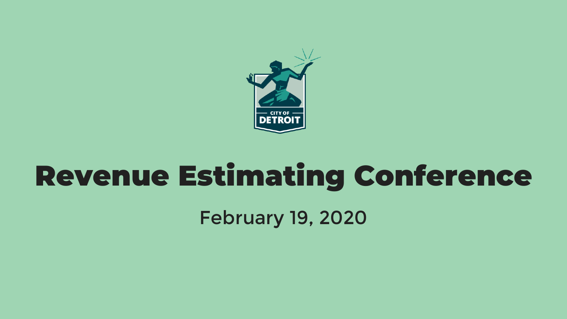

# Revenue Estimating Conference

February 19, 2020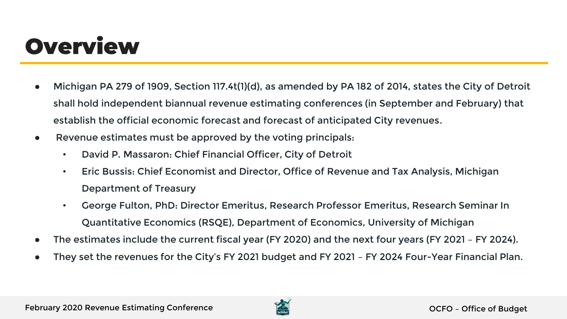## **Overview**

- Michigan PA 279 of 1909, Section 117.4t(1)(d), as amended by PA 182 of 2014, states the City of Detroit shall hold independent biannual revenue estimating conferences (in September and February) that establish the official economic forecast and forecast of anticipated City revenues.
- Revenue estimates must be approved by the voting principals:
	- David P. Massaron: Chief Financial Officer, City of Detroit
	- Eric Bussis: Chief Economist and Director, Office of Revenue and Tax Analysis, Michigan Department of Treasury
	- George Fulton, PhD: Director Emeritus, Research Professor Emeritus, Research Seminar In Quantitative Economics (RSQE), Department of Economics, University of Michigan
- The estimates include the current fiscal year (FY 2020) and the next four years (FY 2021 FY 2024).
- They set the revenues for the City's FY 2021 budget and FY 2021 FY 2024 Four-Year Financial Plan.

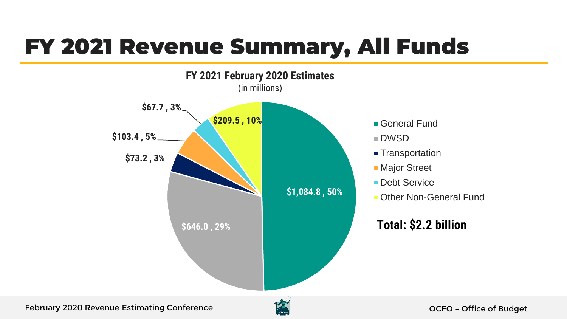## FY 2021 Revenue Summary, All Funds



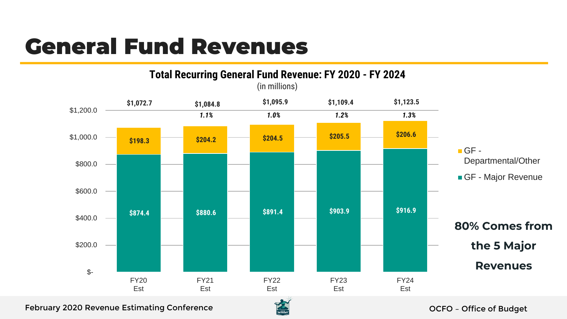## General Fund Revenues



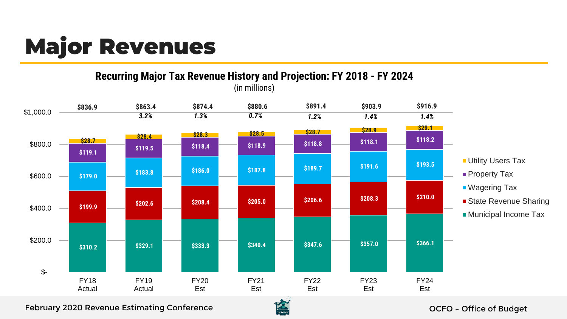## Major Revenues

**Recurring Major Tax Revenue History and Projection: FY 2018 - FY 2024** (in millions)



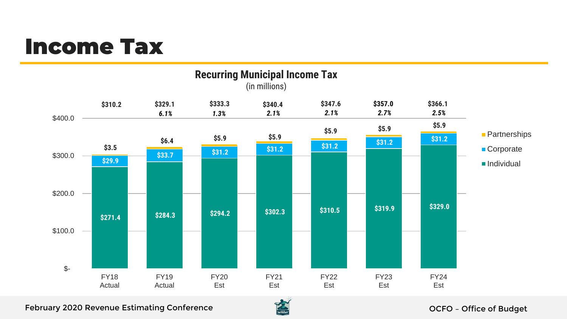### Income Tax



February 2020 Revenue Estimating Conference **OCFO** – Office of Budget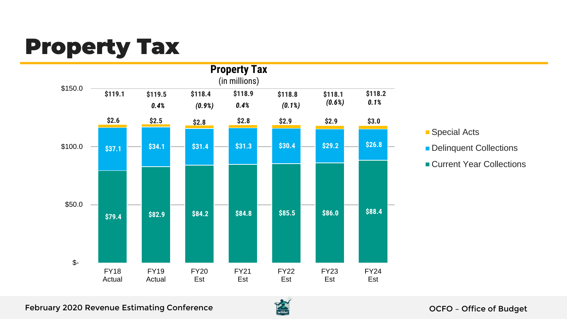## Property Tax



■ Special Acts Delinquent Collections ■ Current Year Collections

February 2020 Revenue Estimating Conference **OCFO** CONFORCING CONFORCING CONFORCING CONFORCING CONFORCING CONFOR

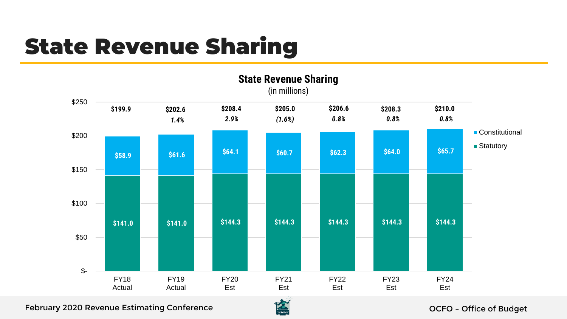## State Revenue Sharing



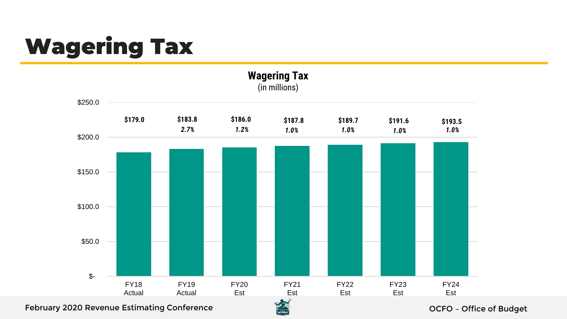# Wagering Tax



February 2020 Revenue Estimating Conference **OCFO** – Office of Budget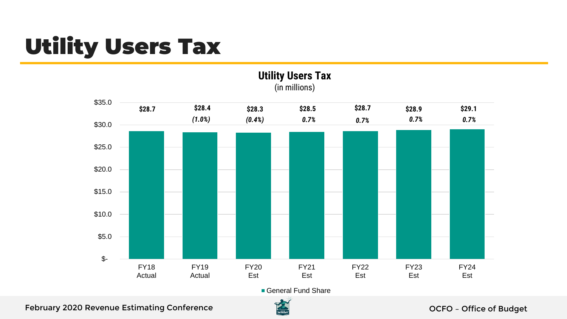## Utility Users Tax



**Utility Users Tax** (in millions)

#### February 2020 Revenue Estimating Conference **OCFO** – Office of Budget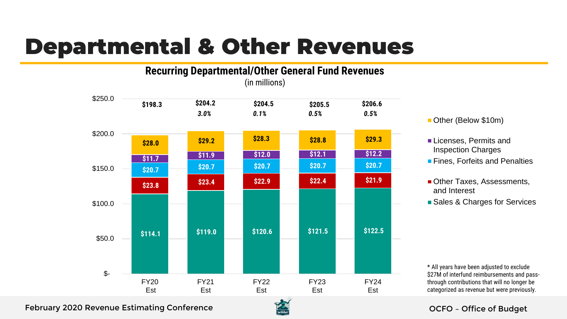## Departmental & Other Revenues



- Other (Below \$10m)
- Licenses, Permits and Inspection Charges
- **Fines. Forfeits and Penalties**
- Other Taxes, Assessments, and Interest
- **Sales & Charges for Services**

\* All years have been adjusted to exclude \$27M of interfund reimbursements and passthrough contributions that will no longer be categorized as revenue but were previously.

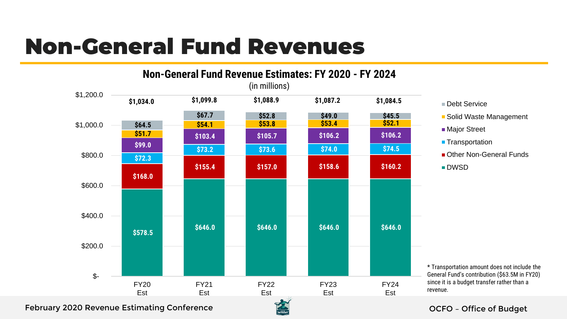## Non-General Fund Revenues



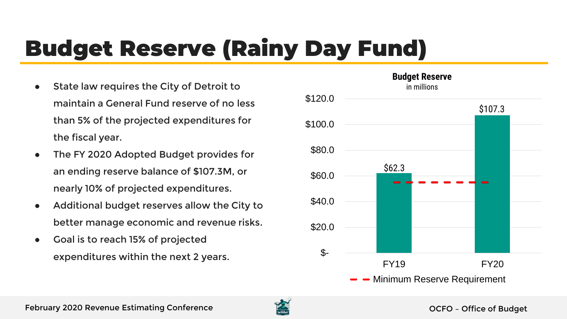# Budget Reserve (Rainy Day Fund)

- State law requires the City of Detroit to maintain a General Fund reserve of no less than 5% of the projected expenditures for the fiscal year.
- The FY 2020 Adopted Budget provides for an ending reserve balance of \$107.3M, or nearly 10% of projected expenditures.
- Additional budget reserves allow the City to better manage economic and revenue risks.
- Goal is to reach 15% of projected expenditures within the next 2 years.